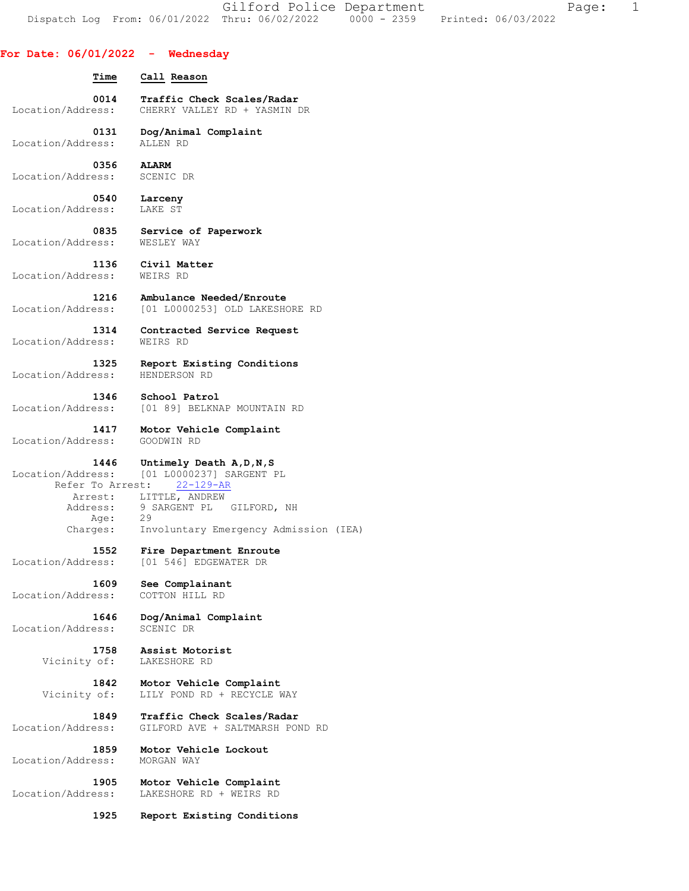Gilford Police Department Fage: 1 Dispatch Log From: 06/01/2022 Thru: 06/02/2022 0000 - 2359 Printed: 06/03/2022

## **For Date: 06/01/2022 - Wednesday**

 **Time Call Reason 0014 Traffic Check Scales/Radar <br>Location/Address:** CHERRY VALLEY RD + YASMIN CHERRY VALLEY RD + YASMIN DR  **0131 Dog/Animal Complaint**  Location/Address: ALLEN RD  **0356 ALARM**  Location/Address: SCENIC DR  **0540 Larceny**  Location/Address: LAKE ST  **0835 Service of Paperwork**  Location/Address:  **1136 Civil Matter**  Location/Address: WEIRS RD **1216 Ambulance Needed/Enroute**<br>Location/Address: [01 L0000253] OLD LAKESH [01 L0000253] OLD LAKESHORE RD  **1314 Contracted Service Request**  Location/Address: WEIRS RD  **1325 Report Existing Conditions**  Location/Address: HENDERSON RD  **1346 School Patrol**  Location/Address: [01 89] BELKNAP MOUNTAIN RD  **1417 Motor Vehicle Complaint**  Location/Address: GOODWIN RD  **1446 Untimely Death A,D,N,S**  Location/Address: [01 L0000237] SARGENT PL Refer To Arrest: 22-129-AR Arrest: LITTLE, ANDREW Address: 9 SARGENT PL GILFORD, NH Age: 29 Charges: Involuntary Emergency Admission (IEA) **1552 Fire Department Enroute**<br>Location/Address: [01 546] EDGEWATER DR [01 546] EDGEWATER DR  **1609 See Complainant**  Location/Address: COTTON HILL RD  **1646 Dog/Animal Complaint**  Location/Address:  **1758 Assist Motorist**  Vicinity of: LAKESHORE RD

 **1842 Motor Vehicle Complaint**  Vicinity of: LILY POND RD + RECYCLE WAY  **1849 Traffic Check Scales/Radar**  Location/Address: GILFORD AVE + SALTMARSH POND RD  **1859 Motor Vehicle Lockout**  Location/Address:

 **1905 Motor Vehicle Complaint**  Location/Address: LAKESHORE RD + WEIRS RD

 **1925 Report Existing Conditions**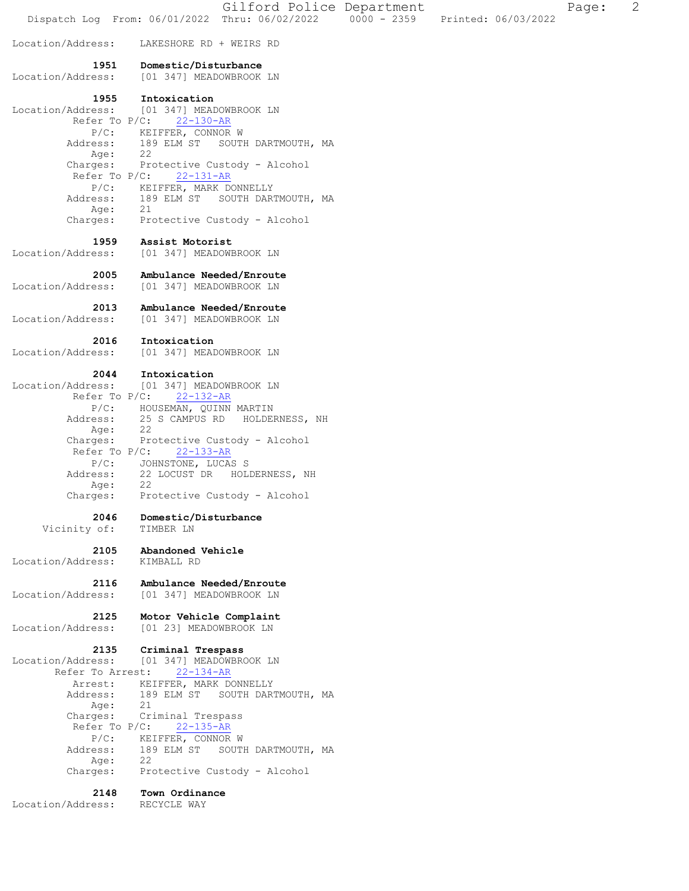Gilford Police Department Fage: 2 Dispatch Log From: 06/01/2022 Thru: 06/02/2022 0000 - 2359 Printed: 06/03/2022 Location/Address: LAKESHORE RD + WEIRS RD  **1951 Domestic/Disturbance**  Location/Address: [01 347] MEADOWBROOK LN **1955 Intoxication**<br>Location/Address: [01 347] MEAI Location/Address: [01 347] MEADOWBROOK LN Refer To P/C: 22-130-AR P/C: KEIFFER, CONNOR W Address: 189 ELM ST SOUTH DARTMOUTH, MA Age: 22 Charges: Protective Custody - Alcohol Refer To P/C: 22-131-AR P/C: KEIFFER, MARK DONNELLY Address: 189 ELM ST SOUTH DARTMOUTH, MA Age: 21 Charges: Protective Custody - Alcohol  **1959 Assist Motorist**  Location/Address: [01 347] MEADOWBROOK LN  **2005 Ambulance Needed/Enroute**  Location/Address: [01 347] MEADOWBROOK LN  **2013 Ambulance Needed/Enroute**  Location/Address: [01 347] MEADOWBROOK LN  **2016 Intoxication**  Location/Address: [01 347] MEADOWBROOK LN  **2044 Intoxication**  Location/Address: [01 347] MEADOWBROOK LN Refer To P/C: 22-132-AR P/C: HOUSEMAN, QUINN MARTIN Address: 25 S CAMPUS RD HOLDERNESS, NH Age: 22 Charges: Protective Custody - Alcohol Refer To P/C: 22-133-AR P/C: JOHNSTONE, LUCAS S Address: 22 LOCUST DR HOLDERNESS, NH Age: 22 Charges: Protective Custody - Alcohol  **2046 Domestic/Disturbance**  Vicinity of: TIMBER LN  **2105 Abandoned Vehicle**  Location/Address: KIMBALL RD  **2116 Ambulance Needed/Enroute**  Location/Address: [01 347] MEADOWBROOK LN  **2125 Motor Vehicle Complaint**  Location/Address: [01 23] MEADOWBROOK LN  **2135 Criminal Trespass**  Location/Address: [01 347] MEADOWBROOK LN Refer To Arrest: 22-134-AR Arrest: KEIFFER, MARK DONNELLY 189 ELM ST SOUTH DARTMOUTH, MA<br>21 Address:<br>Age:<br>Charges: Criminal Trespass Refer To P/C: 22-135-AR P/C: KEIFFER, CONNOR W Address: 189 ELM ST SOUTH DARTMOUTH, MA Age: 22 Age. 22<br>Charges: Protective Custody - Alcohol  **2148 Town Ordinance**  Location/Address: RECYCLE WAY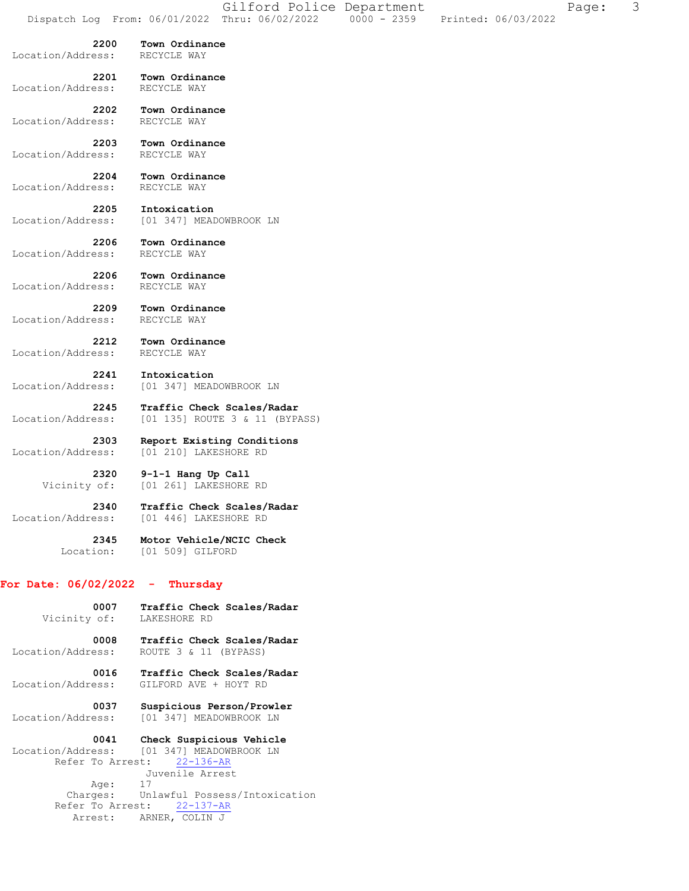**2200 Town Ordinance**  Location/Address: RECYCLE WAY  **2201 Town Ordinance**  Location/Address:  **2202 Town Ordinance**  Location/Address: RECYCLE WAY  **2203 Town Ordinance**  Location/Address:  **2204 Town Ordinance**  Location/Address: RECYCLE WAY  **2205 Intoxication**  Location/Address: [01 347] MEADOWBROOK LN  **2206 Town Ordinance**  Location/Address:  **2206 Town Ordinance**  Location/Address: RECYCLE WAY  **2209 Town Ordinance**  Location/Address: RECYCLE WAY  **2212 Town Ordinance**  Location/Address: RECYCLE WAY  **2241 Intoxication**  Location/Address: [01 347] MEADOWBROOK LN  **2245 Traffic Check Scales/Radar**  Location/Address: [01 135] ROUTE 3 & 11 (BYPASS)  **2303 Report Existing Conditions**  Location/Address: [01 210] LAKESHORE RD  **2320 9-1-1 Hang Up Call**  Vicinity of: [01 261] LAKESHORE RD  **2340 Traffic Check Scales/Radar**  Location/Address: [01 446] LAKESHORE RD  **2345 Motor Vehicle/NCIC Check**  Location: [01 509] GILFORD **For Date: 06/02/2022 - Thursday**

 **0007 Traffic Check Scales/Radar**  Vicinity of: LAKESHORE RD  **0008 Traffic Check Scales/Radar**  Location/Address: ROUTE 3 & 11 (BYPASS)  **0016 Traffic Check Scales/Radar**  Location/Address: GILFORD AVE + HOYT RD  **0037 Suspicious Person/Prowler**  Location/Address: [01 347] MEADOWBROOK LN

 **0041 Check Suspicious Vehicle**  Location/Address: [01 347] MEADOWBROOK LN Refer To Arrest: 22-136-AR Juvenile Arrest Age: 17 Charges: Unlawful Possess/Intoxication Refer To Arrest: 22-137-AR Arrest: ARNER, COLIN J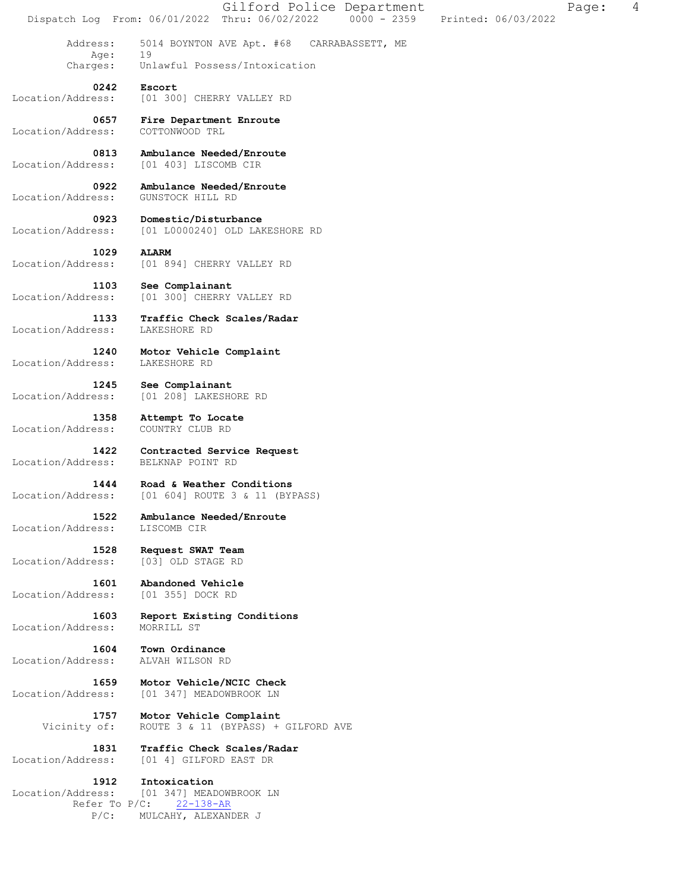Gilford Police Department Fage: 4 Dispatch Log From: 06/01/2022 Thru: 06/02/2022 0000 - 2359 Printed: 06/03/2022 Address: 5014 BOYNTON AVE Apt. #68 CARRABASSETT, ME Aqe: Charges: Unlawful Possess/Intoxication  **0242 Escort**  Location/Address: [01 300] CHERRY VALLEY RD  **0657 Fire Department Enroute**  Location/Address: COTTONWOOD TRL **0813 Ambulance Needed/Enroute** <br>Location/Address: [01 403] LISCOMB CIR Location/Address: [01 403] LISCOMB CIR  **0922 Ambulance Needed/Enroute**  Location/Address: GUNSTOCK HILL RD  **0923 Domestic/Disturbance**  Location/Address: [01 L0000240] OLD LAKESHORE RD  **1029 ALARM**  Location/Address: [01 894] CHERRY VALLEY RD  **1103 See Complainant**  Location/Address: [01 300] CHERRY VALLEY RD  **1133 Traffic Check Scales/Radar**  Location/Address: LAKESHORE RD  **1240 Motor Vehicle Complaint**  Location/Address: LAKESHORE RD  **1245 See Complainant**  Location/Address: [01 208] LAKESHORE RD  **1358 Attempt To Locate**  Location/Address: COUNTRY CLUB RD  **1422 Contracted Service Request**  Location/Address: BELKNAP POINT RD  **1444 Road & Weather Conditions**  Location/Address: [01 604] ROUTE 3 & 11 (BYPASS)  **1522 Ambulance Needed/Enroute**  Location/Address: LISCOMB CIR  **1528 Request SWAT Team**  Location/Address: [03] OLD STAGE RD 1601 **Abandoned Vehicle**<br>ess: [01 355] DOCK RD Location/Address:  **1603 Report Existing Conditions**  Location/Address: MORRILL ST  **1604 Town Ordinance**  Location/Address: ALVAH WILSON RD  **1659 Motor Vehicle/NCIC Check**  Location/Address: [01 347] MEADOWBROOK LN  **1757 Motor Vehicle Complaint**  Vicinity of: ROUTE 3 & 11 (BYPASS) + GILFORD AVE  **1831 Traffic Check Scales/Radar**  Location/Address: [01 4] GILFORD EAST DR  **1912 Intoxication**  Location/Address: [01 347] MEADOWBROOK LN Refer To P/C: 22-138-AR P/C: MULCAHY, ALEXANDER J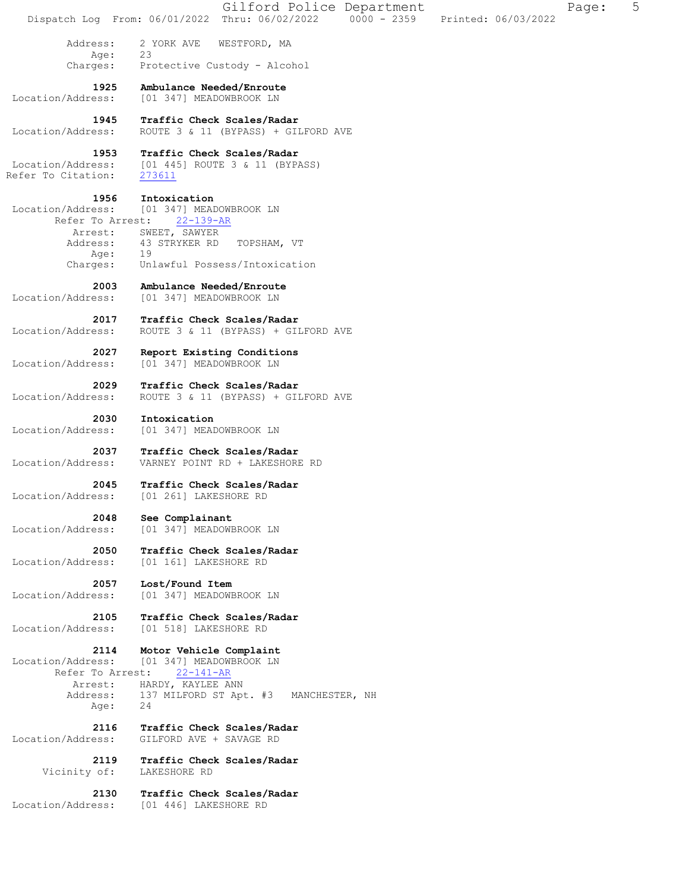|                                               | Gilford Police Department<br>Page:<br>Dispatch Log From: 06/01/2022 Thru: 06/02/2022 0000 - 2359<br>Printed: 06/03/2022 | 5 |
|-----------------------------------------------|-------------------------------------------------------------------------------------------------------------------------|---|
| Address:<br>Age:                              | 2 YORK AVE<br>WESTFORD, MA<br>23                                                                                        |   |
| Charges:                                      | Protective Custody - Alcohol                                                                                            |   |
| 1925<br>Location/Address:                     | Ambulance Needed/Enroute<br>[01 347] MEADOWBROOK LN                                                                     |   |
| 1945<br>Location/Address:                     | Traffic Check Scales/Radar<br>ROUTE 3 & 11 (BYPASS) + GILFORD AVE                                                       |   |
| 1953                                          | Traffic Check Scales/Radar                                                                                              |   |
| Location/Address:<br>Refer To Citation:       | [01 445] ROUTE 3 & 11 (BYPASS)<br>273611                                                                                |   |
| 1956<br>Location/Address:<br>Refer To Arrest: | Intoxication<br>[01 347] MEADOWBROOK LN<br>$22 - 139 - AR$                                                              |   |
| Arrest:<br>Address:                           | SWEET, SAWYER<br>43 STRYKER RD<br>TOPSHAM, VT                                                                           |   |
| Age:                                          | 19<br>Unlawful Possess/Intoxication                                                                                     |   |
| Charges:                                      |                                                                                                                         |   |
| 2003<br>Location/Address:                     | Ambulance Needed/Enroute<br>[01 347] MEADOWBROOK LN                                                                     |   |
| 2017<br>Location/Address:                     | Traffic Check Scales/Radar<br>ROUTE 3 & 11 (BYPASS) + GILFORD AVE                                                       |   |
| 2027<br>Location/Address:                     | Report Existing Conditions<br>[01 347] MEADOWBROOK LN                                                                   |   |
| 2029<br>Location/Address:                     | Traffic Check Scales/Radar<br>ROUTE 3 & 11 (BYPASS) + GILFORD AVE                                                       |   |
| 2030<br>Location/Address:                     | Intoxication<br>[01 347] MEADOWBROOK LN                                                                                 |   |
| 2037<br>Location/Address:                     | Traffic Check Scales/Radar<br>VARNEY POINT RD + LAKESHORE RD                                                            |   |
| 2045<br>Location/Address:                     | Traffic Check Scales/Radar<br>[01 261] LAKESHORE RD                                                                     |   |
| 2048<br>Location/Address:                     | See Complainant<br>[01 347] MEADOWBROOK LN                                                                              |   |
| 2050                                          | Traffic Check Scales/Radar                                                                                              |   |
| Location/Address:                             | [01 161] LAKESHORE RD                                                                                                   |   |
| 2057<br>Location/Address:                     | Lost/Found Item<br>[01 347] MEADOWBROOK LN                                                                              |   |
| 2105<br>Location/Address:                     | Traffic Check Scales/Radar<br>[01 518] LAKESHORE RD                                                                     |   |
| 2114<br>Location/Address:<br>Refer To Arrest: | Motor Vehicle Complaint<br>[01 347] MEADOWBROOK LN<br>$22 - 141 - AR$                                                   |   |
| Arrest:                                       | HARDY, KAYLEE ANN                                                                                                       |   |
| Address:<br>Age:                              | 137 MILFORD ST Apt. #3<br>MANCHESTER, NH<br>24                                                                          |   |
| 2116<br>Location/Address:                     | Traffic Check Scales/Radar<br>GILFORD AVE + SAVAGE RD                                                                   |   |
| 2119<br>Vicinity of:                          | Traffic Check Scales/Radar<br>LAKESHORE RD                                                                              |   |
| 2130<br>Location/Address:                     | Traffic Check Scales/Radar<br>[01 446] LAKESHORE RD                                                                     |   |
|                                               |                                                                                                                         |   |